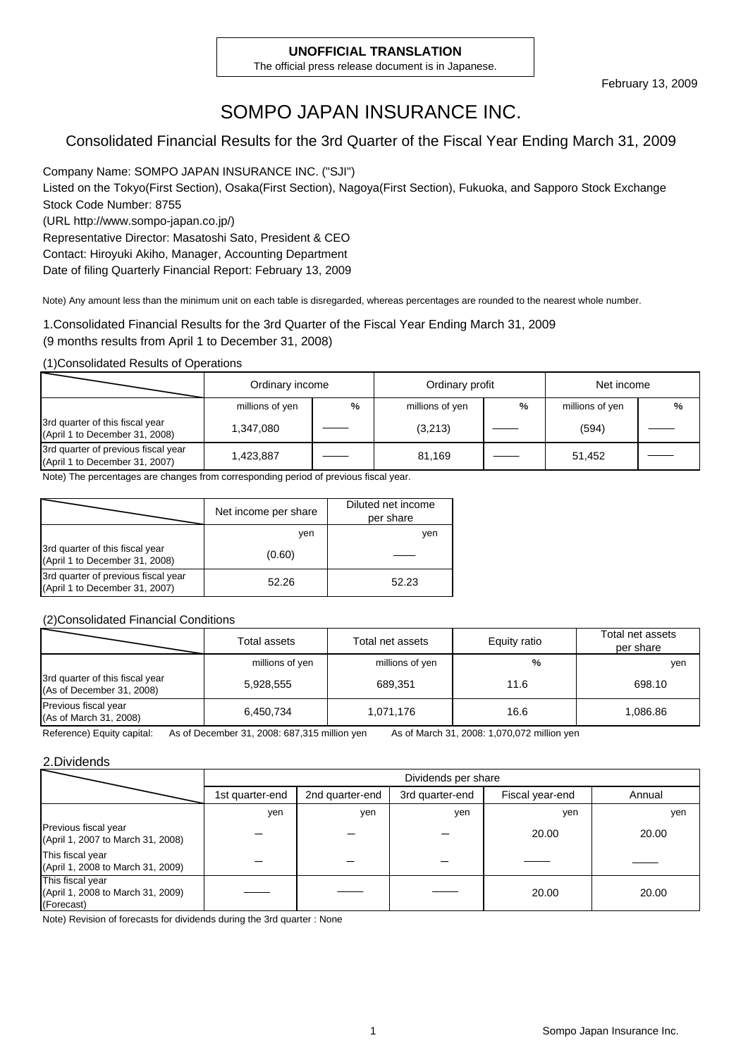#### **UNOFFICIAL TRANSLATION**

The official press release document is in Japanese.

## SOMPO JAPAN INSURANCE INC.

### Consolidated Financial Results for the 3rd Quarter of the Fiscal Year Ending March 31, 2009

Company Name: SOMPO JAPAN INSURANCE INC. ("SJI") Listed on the Tokyo(First Section), Osaka(First Section), Nagoya(First Section), Fukuoka, and Sapporo Stock Exchange Stock Code Number: 8755 (URL http://www.sompo-japan.co.jp/)

Representative Director: Masatoshi Sato, President & CEO Contact: Hiroyuki Akiho, Manager, Accounting Department Date of filing Quarterly Financial Report: February 13, 2009

Note) Any amount less than the minimum unit on each table is disregarded, whereas percentages are rounded to the nearest whole number.

1.Consolidated Financial Results for the 3rd Quarter of the Fiscal Year Ending March 31, 2009 (9 months results from April 1 to December 31, 2008)

(1)Consolidated Results of Operations

|                                                                       | Ordinary income<br>Ordinary profit |               |         |   | Net income      |   |
|-----------------------------------------------------------------------|------------------------------------|---------------|---------|---|-----------------|---|
|                                                                       | millions of yen                    | $\frac{0}{0}$ |         | % | millions of yen | % |
| 3rd quarter of this fiscal year<br>(April 1 to December 31, 2008)     | 1,347,080                          |               | (3,213) |   | (594)           |   |
| 3rd quarter of previous fiscal year<br>(April 1 to December 31, 2007) | 1,423,887                          |               | 81.169  |   | 51.452          |   |

Note) The percentages are changes from corresponding period of previous fiscal year.

|                                                                       | Net income per share | Diluted net income<br>per share |
|-----------------------------------------------------------------------|----------------------|---------------------------------|
|                                                                       | ven                  | yen                             |
| 3rd quarter of this fiscal year<br>(April 1 to December 31, 2008)     | (0.60)               |                                 |
| 3rd quarter of previous fiscal year<br>(April 1 to December 31, 2007) | 52.26                | 52.23                           |

(2)Consolidated Financial Conditions

|                                                              | Total assets    | Total net assets | Equity ratio | Total net assets<br>per share |
|--------------------------------------------------------------|-----------------|------------------|--------------|-------------------------------|
|                                                              | millions of yen | millions of yen  | %            | yen                           |
| 3rd quarter of this fiscal year<br>(As of December 31, 2008) | 5,928,555       | 689.351          | 11.6         | 698.10                        |
| Previous fiscal year<br>(As of March 31, 2008)               | 6,450,734       | 1,071,176        | 16.6         | 1.086.86                      |

Reference) Equity capital: As of December 31, 2008: 687,315 million yen As of March 31, 2008: 1,070,072 million yen

#### 2.Dividends

|                                                                     |                 | Dividends per share |                 |                 |        |  |  |  |
|---------------------------------------------------------------------|-----------------|---------------------|-----------------|-----------------|--------|--|--|--|
|                                                                     | 1st quarter-end | 2nd quarter-end     | 3rd quarter-end | Fiscal year-end | Annual |  |  |  |
|                                                                     | yen             | ven                 | yen             | yen             | yen    |  |  |  |
| Previous fiscal year<br>(April 1, 2007 to March 31, 2008)           |                 |                     |                 | 20.00           | 20.00  |  |  |  |
| This fiscal year<br>(April 1, 2008 to March 31, 2009)               |                 |                     |                 |                 |        |  |  |  |
| This fiscal year<br>(April 1, 2008 to March 31, 2009)<br>(Forecast) |                 |                     |                 | 20.00           | 20.00  |  |  |  |

Note) Revision of forecasts for dividends during the 3rd quarter : None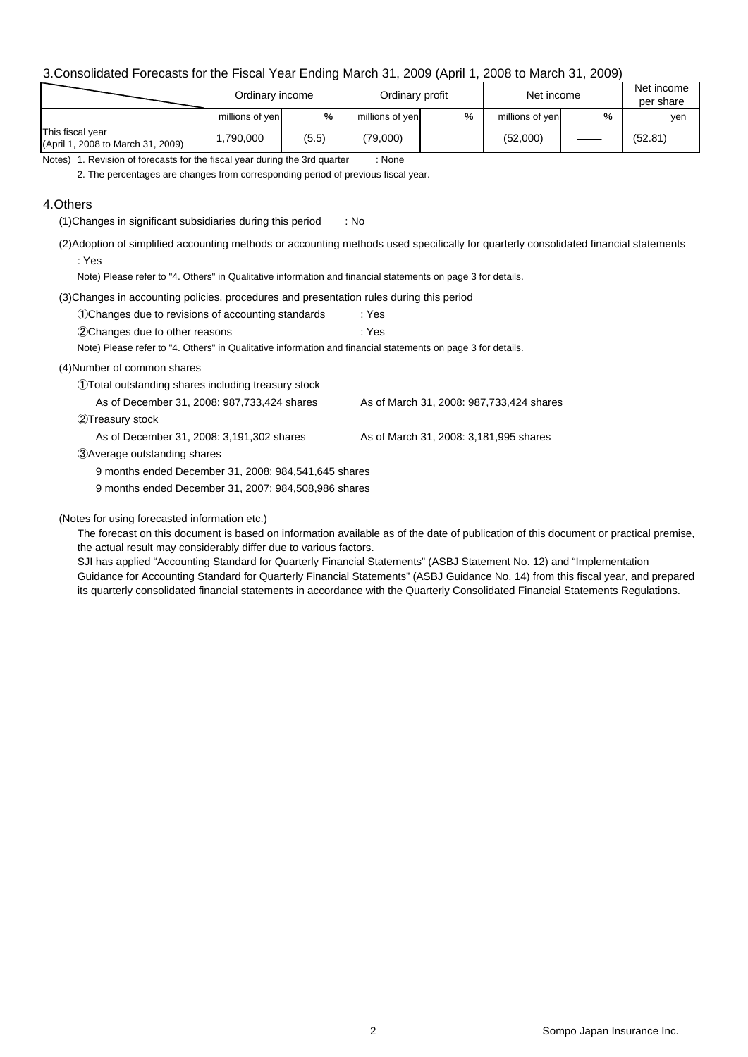#### 3.Consolidated Forecasts for the Fiscal Year Ending March 31, 2009 (April 1, 2008 to March 31, 2009)

|                                                       | Ordinary income |       | Ordinary profit |               | Net income      | Net income<br>per share |         |
|-------------------------------------------------------|-----------------|-------|-----------------|---------------|-----------------|-------------------------|---------|
|                                                       | millions of yen | $\%$  | millions of yen | $\frac{0}{0}$ | millions of yen | %                       | ven     |
| This fiscal year<br>(April 1, 2008 to March 31, 2009) | ,790,000        | (5.5) | (79,000)        |               | (52,000)        |                         | (52.81) |

Notes) 1. Revision of forecasts for the fiscal year during the 3rd quarter : None

2. The percentages are changes from corresponding period of previous fiscal year.

#### 4.Others

(1)Changes in significant subsidiaries during this period : No

(2)Adoption of simplified accounting methods or accounting methods used specifically for quarterly consolidated financial statements : Yes

Note) Please refer to "4. Others" in Qualitative information and financial statements on page 3 for details.

(3)Changes in accounting policies, procedures and presentation rules during this period

| 10 Changes due to revisions of accounting standards | : Yes |
|-----------------------------------------------------|-------|
| 2 Changes due to other reasons                      | : Yes |

Note) Please refer to "4. Others" in Qualitative information and financial statements on page 3 for details.

#### (4)Number of common shares

①Total outstanding shares including treasury stock

As of December 31, 2008: 987,733,424 shares As of March 31, 2008: 987,733,424 shares

②Treasury stock

As of December 31, 2008: 3,191,302 shares As of March 31, 2008: 3,181,995 shares

③Average outstanding shares

9 months ended December 31, 2008: 984,541,645 shares

9 months ended December 31, 2007: 984,508,986 shares

#### (Notes for using forecasted information etc.)

The forecast on this document is based on information available as of the date of publication of this document or practical premise, the actual result may considerably differ due to various factors.

SJI has applied "Accounting Standard for Quarterly Financial Statements" (ASBJ Statement No. 12) and "Implementation Guidance for Accounting Standard for Quarterly Financial Statements" (ASBJ Guidance No. 14) from this fiscal year, and prepared its quarterly consolidated financial statements in accordance with the Quarterly Consolidated Financial Statements Regulations.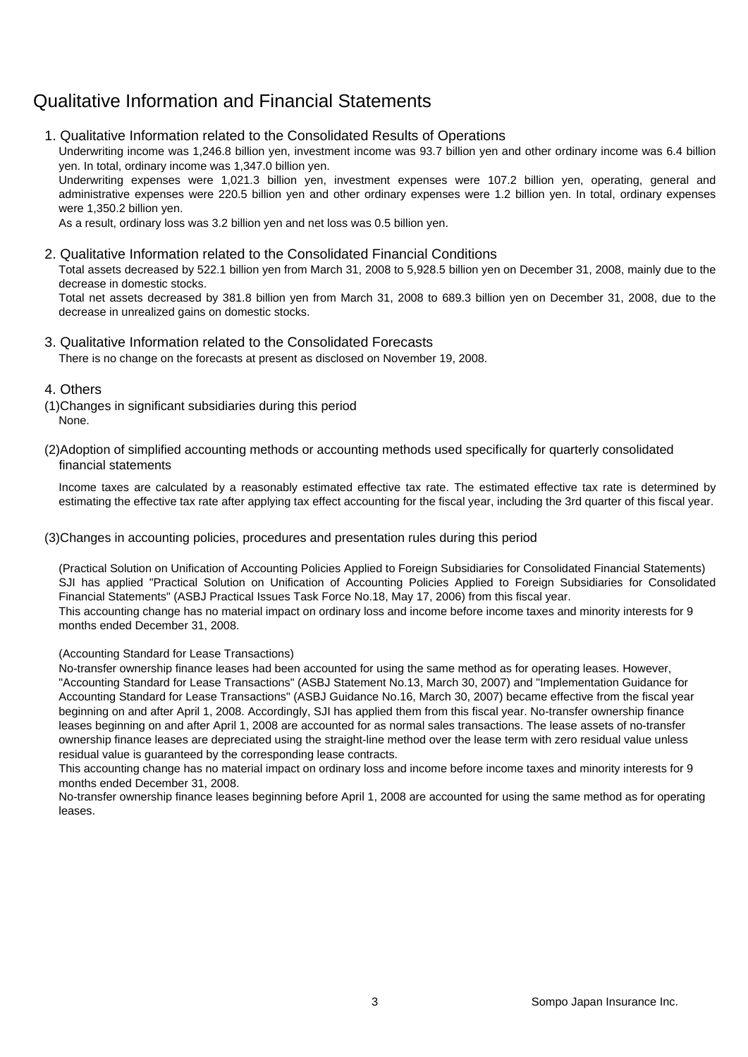## Qualitative Information and Financial Statements

1. Qualitative Information related to the Consolidated Results of Operations

Underwriting income was 1,246.8 billion yen, investment income was 93.7 billion yen and other ordinary income was 6.4 billion yen. In total, ordinary income was 1,347.0 billion yen.

Underwriting expenses were 1,021.3 billion yen, investment expenses were 107.2 billion yen, operating, general and administrative expenses were 220.5 billion yen and other ordinary expenses were 1.2 billion yen. In total, ordinary expenses were 1,350.2 billion yen.

As a result, ordinary loss was 3.2 billion yen and net loss was 0.5 billion yen.

#### 2. Qualitative Information related to the Consolidated Financial Conditions

Total assets decreased by 522.1 billion yen from March 31, 2008 to 5,928.5 billion yen on December 31, 2008, mainly due to the decrease in domestic stocks.

Total net assets decreased by 381.8 billion yen from March 31, 2008 to 689.3 billion yen on December 31, 2008, due to the decrease in unrealized gains on domestic stocks.

### 3. Qualitative Information related to the Consolidated Forecasts

There is no change on the forecasts at present as disclosed on November 19, 2008.

#### 4. Others

- (1)Changes in significant subsidiaries during this period None.
- (2)Adoption of simplified accounting methods or accounting methods used specifically for quarterly consolidated financial statements

Income taxes are calculated by a reasonably estimated effective tax rate. The estimated effective tax rate is determined by estimating the effective tax rate after applying tax effect accounting for the fiscal year, including the 3rd quarter of this fiscal year.

#### (3)Changes in accounting policies, procedures and presentation rules during this period

(Practical Solution on Unification of Accounting Policies Applied to Foreign Subsidiaries for Consolidated Financial Statements) SJI has applied "Practical Solution on Unification of Accounting Policies Applied to Foreign Subsidiaries for Consolidated Financial Statements" (ASBJ Practical Issues Task Force No.18, May 17, 2006) from this fiscal year. This accounting change has no material impact on ordinary loss and income before income taxes and minority interests for 9

months ended December 31, 2008.

#### (Accounting Standard for Lease Transactions)

No-transfer ownership finance leases had been accounted for using the same method as for operating leases. However, "Accounting Standard for Lease Transactions" (ASBJ Statement No.13, March 30, 2007) and "Implementation Guidance for Accounting Standard for Lease Transactions" (ASBJ Guidance No.16, March 30, 2007) became effective from the fiscal year beginning on and after April 1, 2008. Accordingly, SJI has applied them from this fiscal year. No-transfer ownership finance leases beginning on and after April 1, 2008 are accounted for as normal sales transactions. The lease assets of no-transfer ownership finance leases are depreciated using the straight-line method over the lease term with zero residual value unless residual value is guaranteed by the corresponding lease contracts.

This accounting change has no material impact on ordinary loss and income before income taxes and minority interests for 9 months ended December 31, 2008.

No-transfer ownership finance leases beginning before April 1, 2008 are accounted for using the same method as for operating leases.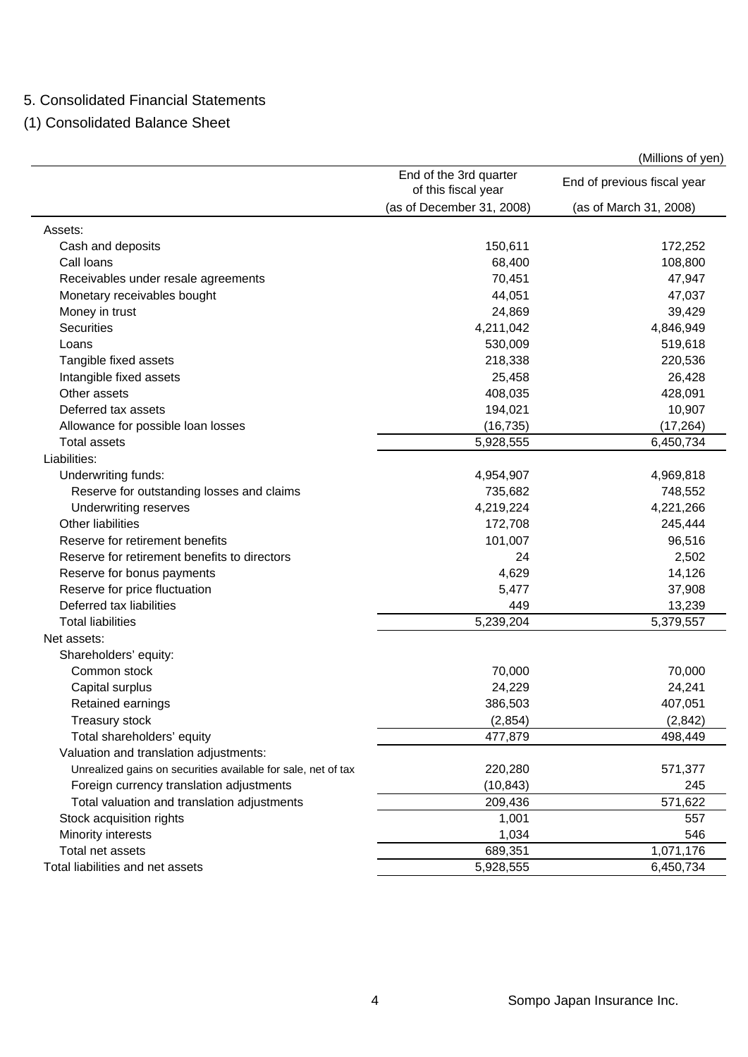### 5. Consolidated Financial Statements

(1) Consolidated Balance Sheet

|                                                               |                                               | (Millions of yen)           |
|---------------------------------------------------------------|-----------------------------------------------|-----------------------------|
|                                                               | End of the 3rd quarter<br>of this fiscal year | End of previous fiscal year |
|                                                               | (as of December 31, 2008)                     | (as of March 31, 2008)      |
| Assets:                                                       |                                               |                             |
| Cash and deposits                                             | 150,611                                       | 172,252                     |
| Call loans                                                    | 68,400                                        | 108,800                     |
| Receivables under resale agreements                           | 70,451                                        | 47,947                      |
| Monetary receivables bought                                   | 44,051                                        | 47,037                      |
| Money in trust                                                | 24,869                                        | 39,429                      |
| <b>Securities</b>                                             | 4,211,042                                     | 4,846,949                   |
| Loans                                                         | 530,009                                       | 519,618                     |
| Tangible fixed assets                                         | 218,338                                       | 220,536                     |
| Intangible fixed assets                                       | 25,458                                        | 26,428                      |
| Other assets                                                  | 408,035                                       | 428,091                     |
| Deferred tax assets                                           | 194,021                                       | 10,907                      |
| Allowance for possible loan losses                            | (16, 735)                                     | (17, 264)                   |
| <b>Total assets</b>                                           | 5,928,555                                     | 6,450,734                   |
| Liabilities:                                                  |                                               |                             |
| Underwriting funds:                                           | 4,954,907                                     | 4,969,818                   |
| Reserve for outstanding losses and claims                     | 735,682                                       | 748,552                     |
| Underwriting reserves                                         | 4,219,224                                     | 4,221,266                   |
| <b>Other liabilities</b>                                      | 172,708                                       | 245,444                     |
| Reserve for retirement benefits                               | 101,007                                       | 96,516                      |
| Reserve for retirement benefits to directors                  | 24                                            | 2,502                       |
| Reserve for bonus payments                                    | 4,629                                         | 14,126                      |
| Reserve for price fluctuation                                 | 5,477                                         | 37,908                      |
| Deferred tax liabilities                                      | 449                                           | 13,239                      |
| <b>Total liabilities</b>                                      | 5,239,204                                     | 5,379,557                   |
| Net assets:                                                   |                                               |                             |
| Shareholders' equity:                                         |                                               |                             |
| Common stock                                                  | 70,000                                        | 70,000                      |
| Capital surplus                                               | 24,229                                        | 24,241                      |
| Retained earnings                                             | 386,503                                       | 407,051                     |
| Treasury stock                                                | (2,854)                                       | (2, 842)                    |
| Total shareholders' equity                                    | 477,879                                       | 498,449                     |
| Valuation and translation adjustments:                        |                                               |                             |
| Unrealized gains on securities available for sale, net of tax | 220,280                                       | 571,377                     |
| Foreign currency translation adjustments                      | (10, 843)                                     | 245                         |
| Total valuation and translation adjustments                   | 209,436                                       | 571,622                     |
| Stock acquisition rights                                      | 1,001                                         | 557                         |
| Minority interests                                            | 1,034                                         | 546                         |
| Total net assets                                              | 689,351                                       | 1,071,176                   |
| Total liabilities and net assets                              | 5,928,555                                     | 6,450,734                   |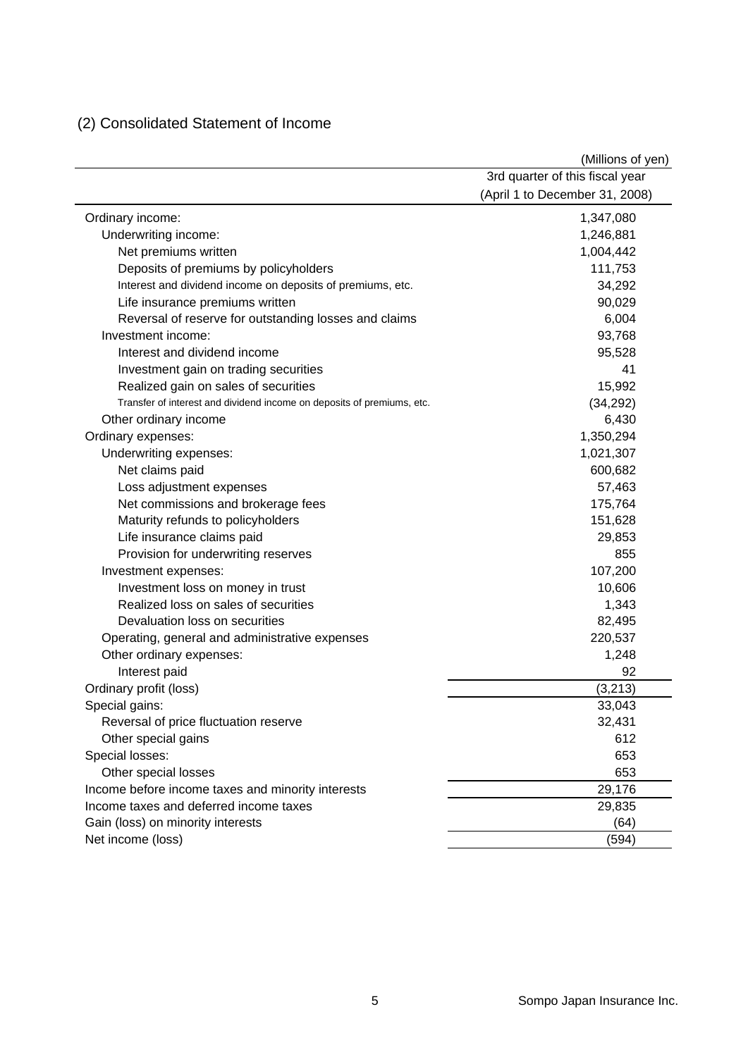## (2) Consolidated Statement of Income

|                                                                        | (Millions of yen)               |
|------------------------------------------------------------------------|---------------------------------|
|                                                                        | 3rd quarter of this fiscal year |
|                                                                        | (April 1 to December 31, 2008)  |
| Ordinary income:                                                       | 1,347,080                       |
| Underwriting income:                                                   | 1,246,881                       |
| Net premiums written                                                   | 1,004,442                       |
| Deposits of premiums by policyholders                                  | 111,753                         |
| Interest and dividend income on deposits of premiums, etc.             | 34,292                          |
| Life insurance premiums written                                        | 90,029                          |
| Reversal of reserve for outstanding losses and claims                  | 6,004                           |
| Investment income:                                                     | 93,768                          |
| Interest and dividend income                                           | 95,528                          |
| Investment gain on trading securities                                  | 41                              |
| Realized gain on sales of securities                                   | 15,992                          |
| Transfer of interest and dividend income on deposits of premiums, etc. | (34, 292)                       |
| Other ordinary income                                                  | 6,430                           |
| Ordinary expenses:                                                     | 1,350,294                       |
| Underwriting expenses:                                                 | 1,021,307                       |
| Net claims paid                                                        | 600,682                         |
| Loss adjustment expenses                                               | 57,463                          |
| Net commissions and brokerage fees                                     | 175,764                         |
| Maturity refunds to policyholders                                      | 151,628                         |
| Life insurance claims paid                                             | 29,853                          |
| Provision for underwriting reserves                                    | 855                             |
| Investment expenses:                                                   | 107,200                         |
| Investment loss on money in trust                                      | 10,606                          |
| Realized loss on sales of securities                                   | 1,343                           |
| Devaluation loss on securities                                         | 82,495                          |
| Operating, general and administrative expenses                         | 220,537                         |
| Other ordinary expenses:                                               | 1,248                           |
| Interest paid                                                          | 92                              |
| Ordinary profit (loss)                                                 | (3,213)                         |
| Special gains:                                                         | 33,043                          |
| Reversal of price fluctuation reserve                                  | 32,431                          |
| Other special gains                                                    | 612                             |
| Special losses:                                                        | 653                             |
| Other special losses                                                   | 653                             |
| Income before income taxes and minority interests                      | 29,176                          |
| Income taxes and deferred income taxes                                 | 29,835                          |
| Gain (loss) on minority interests                                      | (64)                            |
| Net income (loss)                                                      | (594)                           |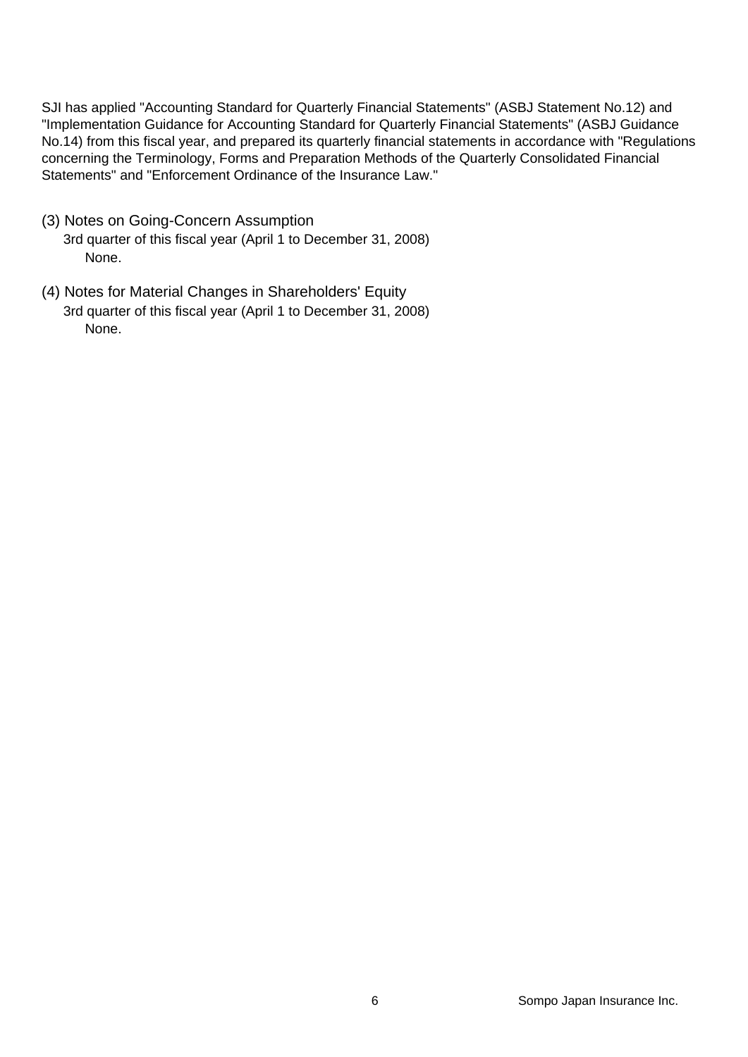SJI has applied "Accounting Standard for Quarterly Financial Statements" (ASBJ Statement No.12) and "Implementation Guidance for Accounting Standard for Quarterly Financial Statements" (ASBJ Guidance No.14) from this fiscal year, and prepared its quarterly financial statements in accordance with "Regulations concerning the Terminology, Forms and Preparation Methods of the Quarterly Consolidated Financial Statements" and "Enforcement Ordinance of the Insurance Law."

- (3) Notes on Going-Concern Assumption 3rd quarter of this fiscal year (April 1 to December 31, 2008) None.
- (4) Notes for Material Changes in Shareholders' Equity 3rd quarter of this fiscal year (April 1 to December 31, 2008) None.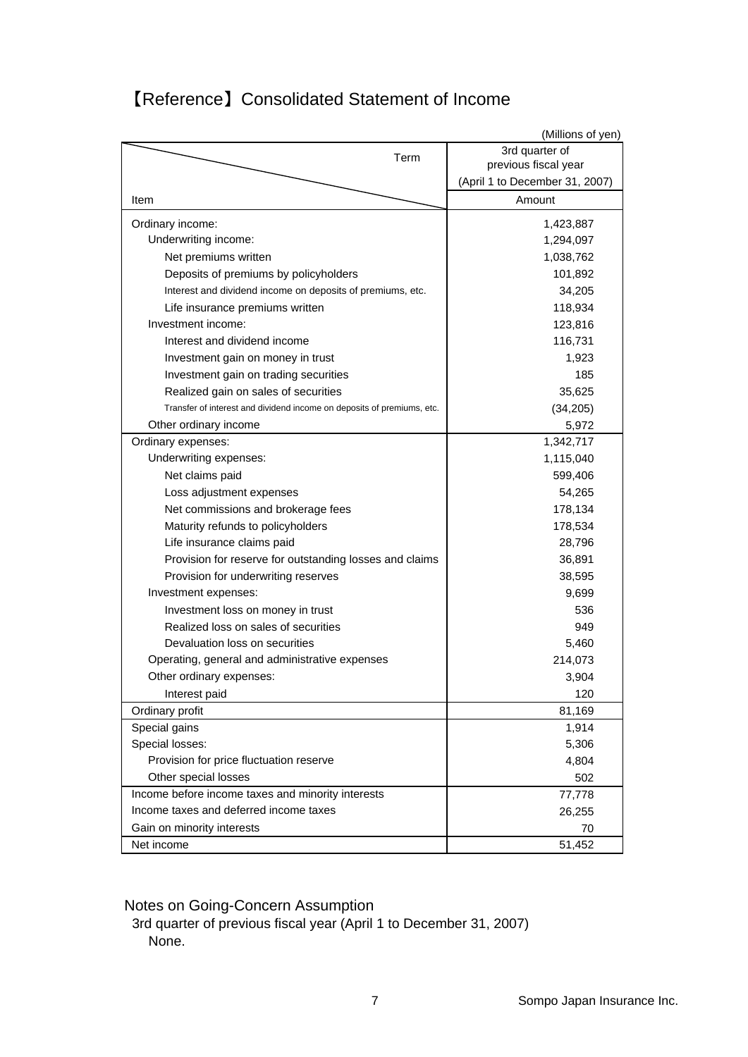|                                                                        | (Millions of yen)              |
|------------------------------------------------------------------------|--------------------------------|
| Term                                                                   | 3rd quarter of                 |
|                                                                        | previous fiscal year           |
|                                                                        | (April 1 to December 31, 2007) |
| Item                                                                   | Amount                         |
| Ordinary income:                                                       | 1,423,887                      |
| Underwriting income:                                                   | 1,294,097                      |
| Net premiums written                                                   | 1,038,762                      |
| Deposits of premiums by policyholders                                  | 101,892                        |
| Interest and dividend income on deposits of premiums, etc.             | 34,205                         |
| Life insurance premiums written                                        | 118,934                        |
| Investment income:                                                     | 123,816                        |
| Interest and dividend income                                           | 116,731                        |
| Investment gain on money in trust                                      | 1,923                          |
| Investment gain on trading securities                                  | 185                            |
| Realized gain on sales of securities                                   | 35,625                         |
| Transfer of interest and dividend income on deposits of premiums, etc. | (34, 205)                      |
| Other ordinary income                                                  | 5,972                          |
| Ordinary expenses:                                                     | 1,342,717                      |
| Underwriting expenses:                                                 | 1,115,040                      |
| Net claims paid                                                        | 599,406                        |
| Loss adjustment expenses                                               | 54,265                         |
| Net commissions and brokerage fees                                     | 178,134                        |
| Maturity refunds to policyholders                                      | 178,534                        |
| Life insurance claims paid                                             | 28,796                         |
| Provision for reserve for outstanding losses and claims                | 36,891                         |
| Provision for underwriting reserves                                    | 38,595                         |
| Investment expenses:                                                   | 9,699                          |
| Investment loss on money in trust                                      | 536                            |
| Realized loss on sales of securities                                   | 949                            |
| Devaluation loss on securities                                         | 5,460                          |
| Operating, general and administrative expenses                         | 214,073                        |
| Other ordinary expenses:                                               | 3,904                          |
| Interest paid                                                          | 120                            |
| Ordinary profit                                                        | 81,169                         |
| Special gains                                                          | 1,914                          |
| Special losses:                                                        | 5,306                          |
| Provision for price fluctuation reserve                                | 4,804                          |
| Other special losses                                                   | 502                            |
| Income before income taxes and minority interests                      | 77,778                         |
| Income taxes and deferred income taxes                                 | 26,255                         |
| Gain on minority interests                                             | 70                             |
| Net income                                                             | 51,452                         |

## 【Reference】Consolidated Statement of Income

Notes on Going-Concern Assumption

3rd quarter of previous fiscal year (April 1 to December 31, 2007) None.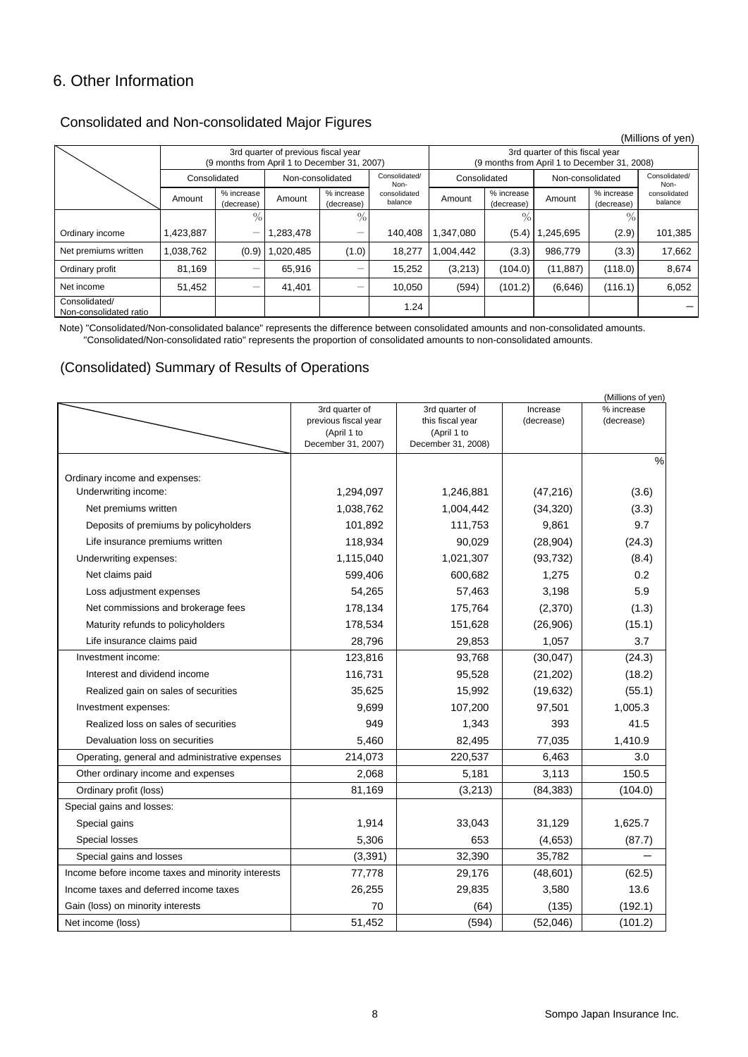## 6. Other Information

### Consolidated and Non-consolidated Major Figures

|                                         |              |                          |                                                                                     |                          |                                                                                 |              |                          |                 |                          | (Millions of yen)       |
|-----------------------------------------|--------------|--------------------------|-------------------------------------------------------------------------------------|--------------------------|---------------------------------------------------------------------------------|--------------|--------------------------|-----------------|--------------------------|-------------------------|
|                                         |              |                          | 3rd quarter of previous fiscal year<br>(9 months from April 1 to December 31, 2007) |                          | 3rd quarter of this fiscal year<br>(9 months from April 1 to December 31, 2008) |              |                          |                 |                          |                         |
|                                         | Consolidated |                          | Non-consolidated                                                                    |                          | Consolidated/<br>Non-                                                           | Consolidated |                          |                 | Non-consolidated         |                         |
|                                         | Amount       | % increase<br>(decrease) | Amount                                                                              | % increase<br>(decrease) | consolidated<br>balance                                                         | Amount       | % increase<br>(decrease) | Amount          | % increase<br>(decrease) | consolidated<br>balance |
|                                         |              | $\%$                     |                                                                                     | $\%$                     |                                                                                 |              | $\%$                     |                 | 7Ω.                      |                         |
| Ordinary income                         | 1,423,887    | —                        | 1,283,478                                                                           | $\overline{\phantom{0}}$ | 140.408                                                                         | 1,347,080    | (5.4)                    | <b>245,695.</b> | (2.9)                    | 101,385                 |
| Net premiums written                    | 1,038,762    | (0.9)                    | ,020,485                                                                            | (1.0)                    | 18.277                                                                          | 1,004,442    | (3.3)                    | 986,779         | (3.3)                    | 17,662                  |
| Ordinary profit                         | 81,169       |                          | 65,916                                                                              |                          | 15,252                                                                          | (3,213)      | (104.0)                  | (11, 887)       | (118.0)                  | 8,674                   |
| Net income                              | 51,452       |                          | 41,401                                                                              |                          | 10,050                                                                          | (594)        | (101.2)                  | (6,646)         | (116.1)                  | 6,052                   |
| Consolidated/<br>Non-consolidated ratio |              |                          |                                                                                     |                          | 1.24                                                                            |              |                          |                 |                          |                         |

Note) "Consolidated/Non-consolidated balance" represents the difference between consolidated amounts and non-consolidated amounts. "Consolidated/Non-consolidated ratio" represents the proportion of consolidated amounts to non-consolidated amounts.

### (Consolidated) Summary of Results of Operations

|                                                   |                                     |                                 |            | (Millions of yen) |
|---------------------------------------------------|-------------------------------------|---------------------------------|------------|-------------------|
|                                                   | 3rd quarter of                      | 3rd quarter of                  | Increase   | % increase        |
|                                                   | previous fiscal year<br>(April 1 to | this fiscal year<br>(April 1 to | (decrease) | (decrease)        |
|                                                   | December 31, 2007)                  | December 31, 2008)              |            |                   |
|                                                   |                                     |                                 |            | $\%$              |
| Ordinary income and expenses:                     |                                     |                                 |            |                   |
| Underwriting income:                              | 1,294,097                           | 1,246,881                       | (47, 216)  | (3.6)             |
| Net premiums written                              | 1,038,762                           | 1,004,442                       | (34, 320)  | (3.3)             |
| Deposits of premiums by policyholders             | 101,892                             | 111,753                         | 9,861      | 9.7               |
| Life insurance premiums written                   | 118,934                             | 90,029                          | (28, 904)  | (24.3)            |
| Underwriting expenses:                            | 1,115,040                           | 1,021,307                       | (93, 732)  | (8.4)             |
| Net claims paid                                   | 599,406                             | 600,682                         | 1,275      | 0.2               |
| Loss adjustment expenses                          | 54,265                              | 57,463                          | 3,198      | 5.9               |
| Net commissions and brokerage fees                | 178,134                             | 175,764                         | (2,370)    | (1.3)             |
| Maturity refunds to policyholders                 | 178,534                             | 151,628                         | (26,906)   | (15.1)            |
| Life insurance claims paid                        | 28,796                              | 29,853                          | 1,057      | 3.7               |
| Investment income:                                | 123,816                             | 93,768                          | (30, 047)  | (24.3)            |
| Interest and dividend income                      | 116,731                             | 95,528                          | (21, 202)  | (18.2)            |
| Realized gain on sales of securities              | 35,625                              | 15,992                          | (19, 632)  | (55.1)            |
| Investment expenses:                              | 9,699                               | 107,200                         | 97,501     | 1,005.3           |
| Realized loss on sales of securities              | 949                                 | 1,343                           | 393        | 41.5              |
| Devaluation loss on securities                    | 5,460                               | 82,495                          | 77,035     | 1,410.9           |
| Operating, general and administrative expenses    | 214,073                             | 220,537                         | 6,463      | 3.0               |
| Other ordinary income and expenses                | 2,068                               | 5,181                           | 3,113      | 150.5             |
| Ordinary profit (loss)                            | 81,169                              | (3,213)                         | (84, 383)  | (104.0)           |
| Special gains and losses:                         |                                     |                                 |            |                   |
| Special gains                                     | 1,914                               | 33,043                          | 31,129     | 1,625.7           |
| Special losses                                    | 5,306                               | 653                             | (4,653)    | (87.7)            |
| Special gains and losses                          | (3, 391)                            | 32,390                          | 35,782     |                   |
| Income before income taxes and minority interests | 77,778                              | 29,176                          | (48,601)   | (62.5)            |
| Income taxes and deferred income taxes            | 26,255                              | 29,835                          | 3,580      | 13.6              |
| Gain (loss) on minority interests                 | 70                                  | (64)                            | (135)      | (192.1)           |
| Net income (loss)                                 | 51,452                              | (594)                           | (52,046)   | (101.2)           |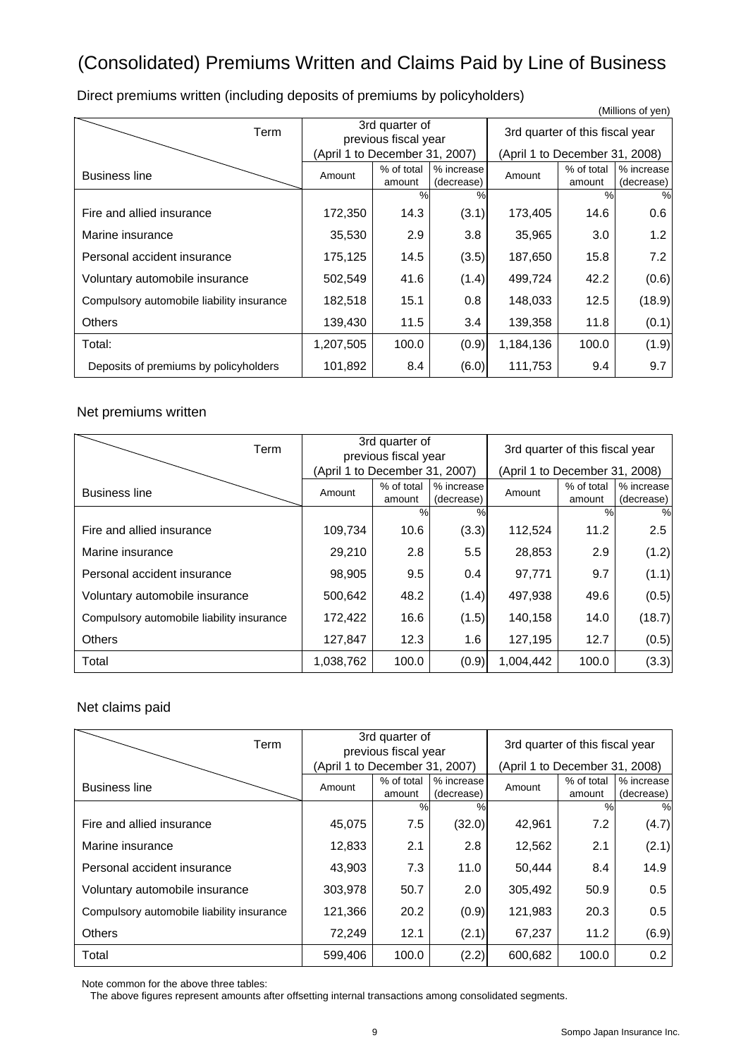## (Consolidated) Premiums Written and Claims Paid by Line of Business

Direct premiums written (including deposits of premiums by policyholders)

|                                           |                                        |                      |                          |                                 |                      | (Millions of yen)        |
|-------------------------------------------|----------------------------------------|----------------------|--------------------------|---------------------------------|----------------------|--------------------------|
| Term                                      | 3rd quarter of<br>previous fiscal year |                      |                          | 3rd quarter of this fiscal year |                      |                          |
|                                           | (April 1 to December 31, 2007)         |                      |                          | (April 1 to December 31, 2008)  |                      |                          |
| <b>Business line</b>                      | Amount                                 | % of total<br>amount | % increase<br>(decrease) | Amount                          | % of total<br>amount | % increase<br>(decrease) |
|                                           |                                        | $\frac{0}{0}$        | $\%$                     |                                 | $\%$                 | %                        |
| Fire and allied insurance                 | 172,350                                | 14.3                 | (3.1)                    | 173,405                         | 14.6                 | 0.6                      |
| Marine insurance                          | 35,530                                 | 2.9                  | 3.8                      | 35,965                          | 3.0                  | 1.2                      |
| Personal accident insurance               | 175,125                                | 14.5                 | (3.5)                    | 187,650                         | 15.8                 | 7.2                      |
| Voluntary automobile insurance            | 502,549                                | 41.6                 | (1.4)                    | 499,724                         | 42.2                 | (0.6)                    |
| Compulsory automobile liability insurance | 182,518                                | 15.1                 | 0.8                      | 148,033                         | 12.5                 | (18.9)                   |
| <b>Others</b>                             | 139,430                                | 11.5                 | 3.4                      | 139,358                         | 11.8                 | (0.1)                    |
| Total:                                    | 1,207,505                              | 100.0                | (0.9)                    | 1,184,136                       | 100.0                | (1.9)                    |
| Deposits of premiums by policyholders     | 101,892                                | 8.4                  | (6.0)                    | 111,753                         | 9.4                  | 9.7                      |

#### Net premiums written

| Term                                      | 3rd quarter of<br>previous fiscal year |                      |                          | 3rd quarter of this fiscal year |                      |                          |
|-------------------------------------------|----------------------------------------|----------------------|--------------------------|---------------------------------|----------------------|--------------------------|
|                                           | (April 1 to December 31, 2007)         |                      |                          | (April 1 to December 31, 2008)  |                      |                          |
| <b>Business line</b>                      | Amount                                 | % of total<br>amount | % increase<br>(decrease) | Amount                          | % of total<br>amount | % increase<br>(decrease) |
|                                           |                                        | %                    | $\%$                     |                                 | $\%$                 | $\%$                     |
| Fire and allied insurance                 | 109,734                                | 10.6                 | (3.3)                    | 112,524                         | 11.2                 | 2.5                      |
| Marine insurance                          | 29,210                                 | 2.8                  | 5.5                      | 28,853                          | 2.9                  | (1.2)                    |
| Personal accident insurance               | 98,905                                 | 9.5                  | $0.4^{\circ}$            | 97,771                          | 9.7                  | (1.1)                    |
| Voluntary automobile insurance            | 500,642                                | 48.2                 | (1.4)                    | 497,938                         | 49.6                 | (0.5)                    |
| Compulsory automobile liability insurance | 172,422                                | 16.6                 | (1.5)                    | 140,158                         | 14.0                 | (18.7)                   |
| <b>Others</b>                             | 127,847                                | 12.3                 | 1.6                      | 127,195                         | 12.7                 | (0.5)                    |
| Total                                     | 1,038,762                              | 100.0                | (0.9)                    | 1,004,442                       | 100.0                | (3.3)                    |

#### Net claims paid

| Term                                      | 3rd quarter of<br>previous fiscal year |                      |                          | 3rd quarter of this fiscal year |                      |                          |
|-------------------------------------------|----------------------------------------|----------------------|--------------------------|---------------------------------|----------------------|--------------------------|
|                                           | (April 1 to December 31, 2007)         |                      |                          | (April 1 to December 31, 2008)  |                      |                          |
| <b>Business line</b>                      | Amount                                 | % of total<br>amount | % increase<br>(decrease) | Amount                          | % of total<br>amount | % increase<br>(decrease) |
|                                           |                                        | $\frac{0}{0}$        | $\%$                     |                                 | $\%$                 | %                        |
| Fire and allied insurance                 | 45,075                                 | 7.5                  | (32.0)                   | 42,961                          | 7.2                  | (4.7)                    |
| Marine insurance                          | 12,833                                 | 2.1                  | 2.8                      | 12,562                          | 2.1                  | (2.1)                    |
| Personal accident insurance               | 43,903                                 | 7.3                  | 11.0                     | 50,444                          | 8.4                  | 14.9                     |
| Voluntary automobile insurance            | 303,978                                | 50.7                 | 2.0                      | 305,492                         | 50.9                 | 0.5                      |
| Compulsory automobile liability insurance | 121,366                                | 20.2                 | (0.9)                    | 121,983                         | 20.3                 | 0.5                      |
| <b>Others</b>                             | 72,249                                 | 12.1                 | (2.1)                    | 67,237                          | 11.2                 | (6.9)                    |
| Total                                     | 599,406                                | 100.0                | (2.2)                    | 600,682                         | 100.0                | 0.2                      |

Note common for the above three tables:

The above figures represent amounts after offsetting internal transactions among consolidated segments.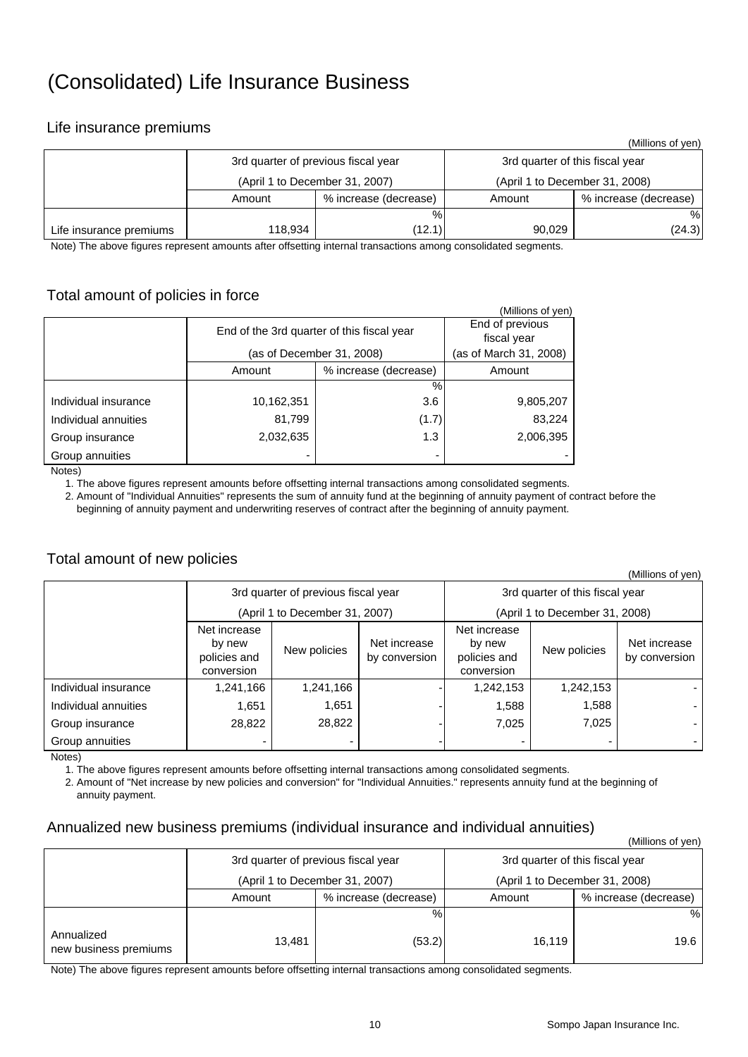## (Consolidated) Life Insurance Business

### Life insurance premiums

|                         |                                     |                       |                                 | (Millions of yen)     |  |
|-------------------------|-------------------------------------|-----------------------|---------------------------------|-----------------------|--|
|                         | 3rd quarter of previous fiscal year |                       | 3rd quarter of this fiscal year |                       |  |
|                         | (April 1 to December 31, 2007)      |                       | (April 1 to December 31, 2008)  |                       |  |
|                         | Amount                              | % increase (decrease) | Amount                          | % increase (decrease) |  |
|                         |                                     | $\%$                  |                                 | %                     |  |
| Life insurance premiums | 118,934                             | (12.1)                | 90.029                          | (24.3)                |  |

Note) The above figures represent amounts after offsetting internal transactions among consolidated segments.

### Total amount of policies in force

| <u>.</u>             |                                            |                                |                   |
|----------------------|--------------------------------------------|--------------------------------|-------------------|
|                      |                                            |                                | (Millions of yen) |
|                      | End of the 3rd quarter of this fiscal year | End of previous<br>fiscal year |                   |
|                      | (as of December 31, 2008)                  | (as of March 31, 2008)         |                   |
|                      | Amount                                     | % increase (decrease)          | Amount            |
|                      |                                            | $\%$                           |                   |
| Individual insurance | 10,162,351                                 | 3.6                            | 9,805,207         |
| Individual annuities | 81,799                                     | (1.7)                          | 83,224            |
| Group insurance      | 2,032,635                                  | 1.3                            | 2,006,395         |
| Group annuities      |                                            |                                |                   |
| $N = + \infty$       |                                            |                                |                   |

Notes)

1. The above figures represent amounts before offsetting internal transactions among consolidated segments.

 2. Amount of "Individual Annuities" represents the sum of annuity fund at the beginning of annuity payment of contract before the beginning of annuity payment and underwriting reserves of contract after the beginning of annuity payment.

### Total amount of new policies

|                      |                                                                      |           |                               |                                                                      |           | (Millions of yen)             |  |
|----------------------|----------------------------------------------------------------------|-----------|-------------------------------|----------------------------------------------------------------------|-----------|-------------------------------|--|
|                      | 3rd quarter of previous fiscal year                                  |           |                               | 3rd quarter of this fiscal year                                      |           |                               |  |
|                      | (April 1 to December 31, 2007)                                       |           |                               | (April 1 to December 31, 2008)                                       |           |                               |  |
|                      | Net increase<br>by new<br>New policies<br>policies and<br>conversion |           | Net increase<br>by conversion | Net increase<br>by new<br>New policies<br>policies and<br>conversion |           | Net increase<br>by conversion |  |
| Individual insurance | 1,241,166                                                            | 1,241,166 |                               | 1,242,153                                                            | 1,242,153 |                               |  |
| Individual annuities | 1.651                                                                | 1,651     |                               | 1,588                                                                | 1,588     |                               |  |
| Group insurance      | 28,822                                                               | 28,822    |                               | 7,025                                                                | 7,025     |                               |  |
| Group annuities      |                                                                      |           |                               | ٠                                                                    | -         |                               |  |

Notes)

1. The above figures represent amounts before offsetting internal transactions among consolidated segments.

 2. Amount of "Net increase by new policies and conversion" for "Individual Annuities." represents annuity fund at the beginning of annuity payment.

#### Annualized new business premiums (individual insurance and individual annuities)

|                                     |        |                                     |                                 | (Millions of yen)     |  |  |
|-------------------------------------|--------|-------------------------------------|---------------------------------|-----------------------|--|--|
|                                     |        | 3rd quarter of previous fiscal year | 3rd quarter of this fiscal year |                       |  |  |
|                                     |        | (April 1 to December 31, 2007)      | (April 1 to December 31, 2008)  |                       |  |  |
|                                     | Amount | % increase (decrease)               | Amount                          | % increase (decrease) |  |  |
|                                     |        | %                                   |                                 | %                     |  |  |
| Annualized<br>new business premiums | 13,481 | (53.2)                              | 16.119                          | 19.6                  |  |  |

Note) The above figures represent amounts before offsetting internal transactions among consolidated segments.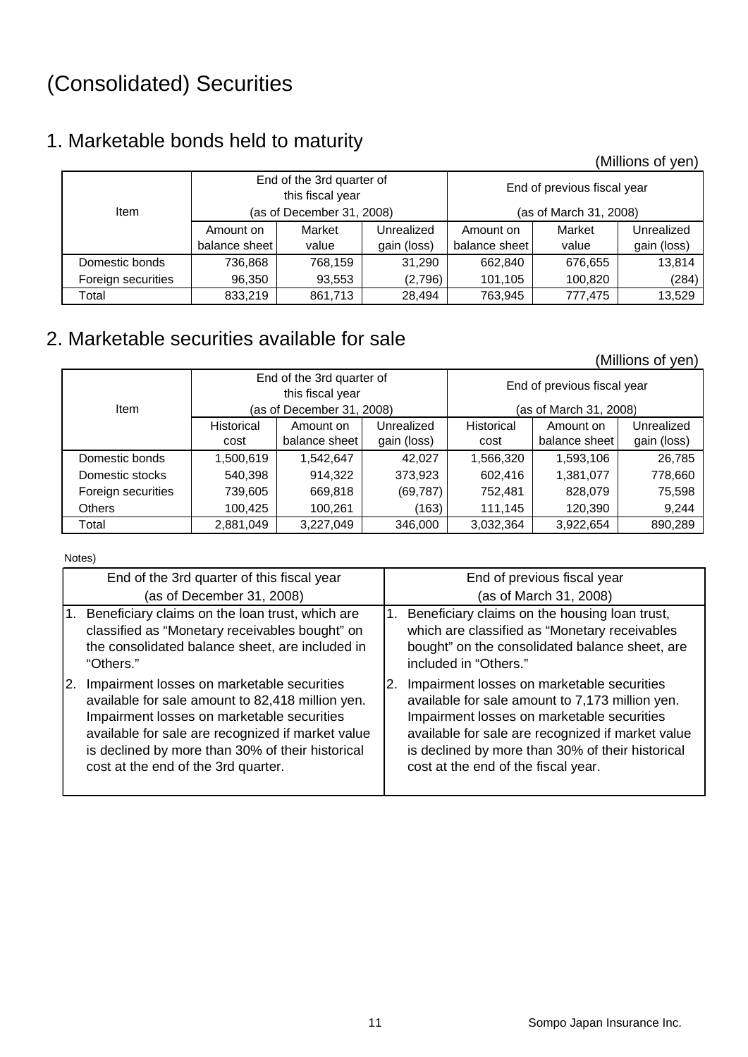# (Consolidated) Securities

## 1. Marketable bonds held to maturity

(Millions of yen)

|                    | End of the 3rd quarter of<br>this fiscal year |                           |             | End of previous fiscal year |                        |             |  |
|--------------------|-----------------------------------------------|---------------------------|-------------|-----------------------------|------------------------|-------------|--|
| <b>Item</b>        |                                               | (as of December 31, 2008) |             |                             | (as of March 31, 2008) |             |  |
|                    | Amount on                                     | Market                    | Unrealized  | Amount on                   | Market                 | Unrealized  |  |
|                    | balance sheet                                 | value                     | gain (loss) | balance sheet               | value                  | gain (loss) |  |
| Domestic bonds     | 736.868                                       | 768,159                   | 31.290      | 662.840                     | 676,655                | 13,814      |  |
| Foreign securities | 96,350                                        | 93,553                    | (2,796)     | 101,105                     | 100,820                | (284)       |  |
| Total              | 833,219                                       | 861,713                   | 28,494      | 763,945                     | 777.475                | 13.529      |  |

## 2. Marketable securities available for sale

(Millions of yen)

|                    | End of the 3rd quarter of<br>this fiscal year |                           |             | End of previous fiscal year |                        |             |
|--------------------|-----------------------------------------------|---------------------------|-------------|-----------------------------|------------------------|-------------|
| <b>Item</b>        |                                               | (as of December 31, 2008) |             |                             | (as of March 31, 2008) |             |
|                    | <b>Historical</b>                             | Amount on                 | Unrealized  | <b>Historical</b>           | Amount on              | Unrealized  |
|                    | cost                                          | balance sheet             | gain (loss) | cost                        | balance sheet          | gain (loss) |
| Domestic bonds     | 1,500,619                                     | 1,542,647                 | 42,027      | 1,566,320                   | 1,593,106              | 26,785      |
| Domestic stocks    | 540,398                                       | 914,322                   | 373,923     | 602,416                     | 1,381,077              | 778,660     |
| Foreign securities | 739,605                                       | 669,818                   | (69, 787)   | 752,481                     | 828,079                | 75,598      |
| <b>Others</b>      | 100.425                                       | 100.261                   | (163)       | 111.145                     | 120,390                | 9,244       |
| Total              | 2,881,049                                     | 3.227.049                 | 346,000     | 3,032,364                   | 3,922,654              | 890.289     |

Notes)

| End of the 3rd quarter of this fiscal year                                                                                                                                                                                                                                                   | End of previous fiscal year                                                                                                                                                                                                                                                                       |
|----------------------------------------------------------------------------------------------------------------------------------------------------------------------------------------------------------------------------------------------------------------------------------------------|---------------------------------------------------------------------------------------------------------------------------------------------------------------------------------------------------------------------------------------------------------------------------------------------------|
| (as of December 31, 2008)                                                                                                                                                                                                                                                                    | (as of March 31, 2008)                                                                                                                                                                                                                                                                            |
| Beneficiary claims on the loan trust, which are<br>1.<br>classified as "Monetary receivables bought" on<br>the consolidated balance sheet, are included in<br>"Others."                                                                                                                      | Beneficiary claims on the housing loan trust,<br>1.<br>which are classified as "Monetary receivables<br>bought" on the consolidated balance sheet, are<br>included in "Others."                                                                                                                   |
| Impairment losses on marketable securities<br>available for sale amount to 82,418 million yen.<br>Impairment losses on marketable securities<br>available for sale are recognized if market value<br>is declined by more than 30% of their historical<br>cost at the end of the 3rd quarter. | Impairment losses on marketable securities<br>2.<br>available for sale amount to 7,173 million yen.<br>Impairment losses on marketable securities<br>available for sale are recognized if market value<br>is declined by more than 30% of their historical<br>cost at the end of the fiscal year. |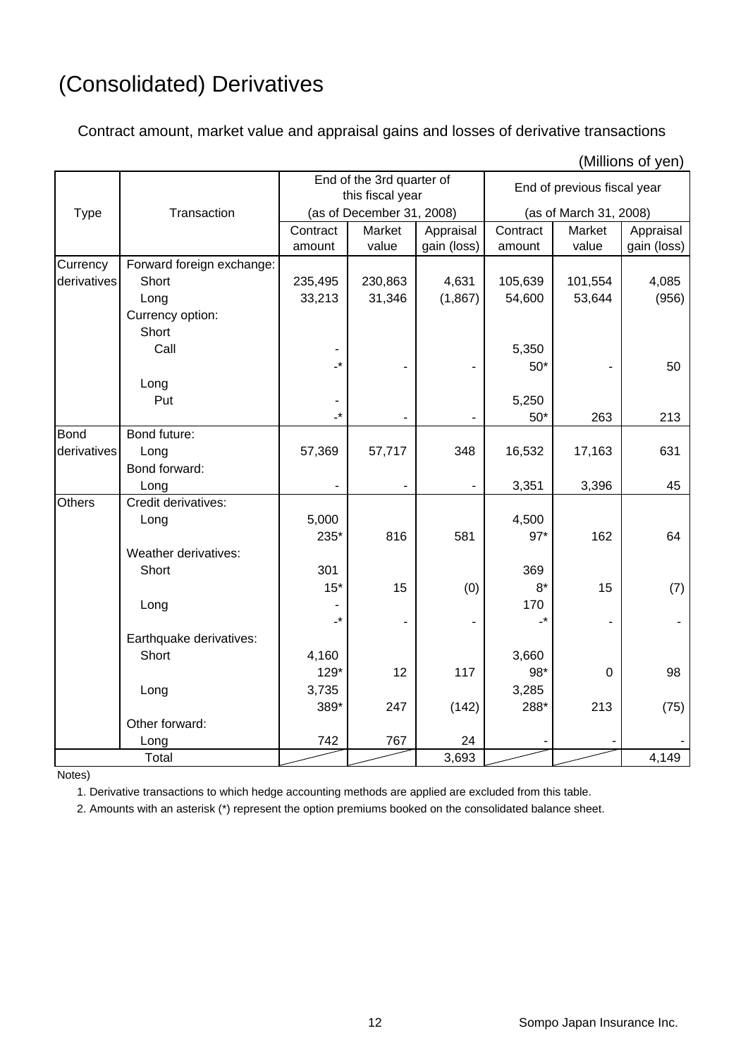# (Consolidated) Derivatives

Contract amount, market value and appraisal gains and losses of derivative transactions

|               |                           | End of the 3rd quarter of<br>this fiscal year |                           |                          | End of previous fiscal year |                        |                          |  |
|---------------|---------------------------|-----------------------------------------------|---------------------------|--------------------------|-----------------------------|------------------------|--------------------------|--|
| <b>Type</b>   | Transaction               |                                               | (as of December 31, 2008) |                          |                             | (as of March 31, 2008) |                          |  |
|               |                           | Contract<br>amount                            | Market<br>value           | Appraisal<br>gain (loss) | Contract<br>amount          | Market<br>value        | Appraisal<br>gain (loss) |  |
| Currency      | Forward foreign exchange: |                                               |                           |                          |                             |                        |                          |  |
| derivatives   | Short                     | 235,495                                       | 230,863                   | 4,631                    | 105,639                     | 101,554                | 4,085                    |  |
|               | Long                      | 33,213                                        | 31,346                    | (1,867)                  | 54,600                      | 53,644                 | (956)                    |  |
|               | Currency option:          |                                               |                           |                          |                             |                        |                          |  |
|               | Short                     |                                               |                           |                          |                             |                        |                          |  |
|               | Call                      |                                               |                           |                          | 5,350                       |                        |                          |  |
|               |                           | $\cdot$                                       |                           |                          | $50*$                       |                        | 50                       |  |
|               | Long                      |                                               |                           |                          |                             |                        |                          |  |
|               | Put                       |                                               |                           |                          | 5,250                       |                        |                          |  |
|               |                           | $\cdot^*$                                     |                           |                          | $50*$                       | 263                    | 213                      |  |
| <b>Bond</b>   | Bond future:              |                                               |                           |                          |                             |                        |                          |  |
| derivatives   | Long                      | 57,369                                        | 57,717                    | 348                      | 16,532                      | 17,163                 | 631                      |  |
|               | Bond forward:             |                                               |                           |                          |                             |                        |                          |  |
|               | Long                      |                                               |                           |                          | 3,351                       | 3,396                  | 45                       |  |
| <b>Others</b> | Credit derivatives:       |                                               |                           |                          |                             |                        |                          |  |
|               | Long                      | 5,000                                         |                           |                          | 4,500                       |                        |                          |  |
|               |                           | 235*                                          | 816                       | 581                      | $97*$                       | 162                    | 64                       |  |
|               | Weather derivatives:      |                                               |                           |                          |                             |                        |                          |  |
|               | Short                     | 301                                           |                           |                          | 369                         |                        |                          |  |
|               |                           | $15*$                                         | 15                        | (0)                      | $8*$                        | 15                     | (7)                      |  |
|               | Long                      |                                               |                           |                          | 170                         |                        |                          |  |
|               |                           | $\cdot^*$                                     | ۰                         |                          | -*                          |                        |                          |  |
|               | Earthquake derivatives:   |                                               |                           |                          |                             |                        |                          |  |
|               | Short                     | 4,160                                         |                           |                          | 3,660                       |                        |                          |  |
|               |                           | 129*                                          | 12                        | 117                      | 98*                         | $\overline{0}$         | 98                       |  |
|               | Long                      | 3,735                                         |                           |                          | 3,285                       |                        |                          |  |
|               |                           | 389*                                          | 247                       | (142)                    | 288*                        | 213                    | (75)                     |  |
|               | Other forward:            |                                               |                           |                          |                             |                        |                          |  |
|               | Long                      | 742                                           | 767                       | 24                       |                             |                        |                          |  |
|               | Total                     |                                               |                           | 3,693                    |                             |                        | 4,149                    |  |

(Millions of yen)

Notes)

1. Derivative transactions to which hedge accounting methods are applied are excluded from this table.

2. Amounts with an asterisk (\*) represent the option premiums booked on the consolidated balance sheet.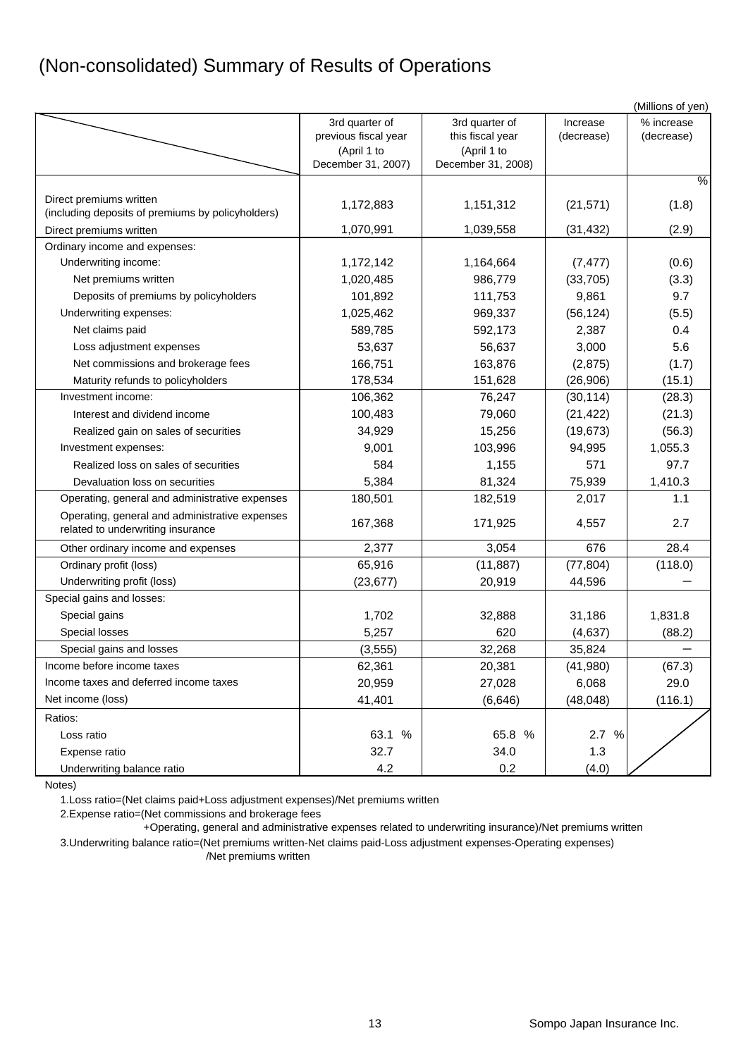## (Non-consolidated) Summary of Results of Operations

|                                                                                     |                                   |                                   |            | (Millions of yen) |
|-------------------------------------------------------------------------------------|-----------------------------------|-----------------------------------|------------|-------------------|
|                                                                                     | 3rd quarter of                    | 3rd quarter of                    | Increase   | % increase        |
|                                                                                     | previous fiscal year              | this fiscal year                  | (decrease) | (decrease)        |
|                                                                                     | (April 1 to<br>December 31, 2007) | (April 1 to<br>December 31, 2008) |            |                   |
|                                                                                     |                                   |                                   |            | $\frac{1}{6}$     |
|                                                                                     |                                   |                                   |            |                   |
| Direct premiums written<br>(including deposits of premiums by policyholders)        | 1,172,883                         | 1,151,312                         | (21, 571)  | (1.8)             |
| Direct premiums written                                                             | 1,070,991                         | 1,039,558                         | (31, 432)  | (2.9)             |
| Ordinary income and expenses:                                                       |                                   |                                   |            |                   |
| Underwriting income:                                                                | 1,172,142                         | 1,164,664                         | (7, 477)   | (0.6)             |
| Net premiums written                                                                | 1,020,485                         | 986,779                           | (33, 705)  | (3.3)             |
| Deposits of premiums by policyholders                                               | 101,892                           | 111,753                           | 9,861      | 9.7               |
| Underwriting expenses:                                                              | 1,025,462                         | 969,337                           | (56, 124)  | (5.5)             |
| Net claims paid                                                                     | 589,785                           | 592,173                           | 2,387      | 0.4               |
| Loss adjustment expenses                                                            | 53,637                            | 56,637                            | 3,000      | 5.6               |
| Net commissions and brokerage fees                                                  | 166,751                           | 163,876                           | (2,875)    | (1.7)             |
| Maturity refunds to policyholders                                                   | 178,534                           | 151,628                           | (26,906)   | (15.1)            |
| Investment income:                                                                  | 106,362                           | 76,247                            | (30, 114)  | (28.3)            |
| Interest and dividend income                                                        | 100,483                           | 79,060                            | (21, 422)  | (21.3)            |
| Realized gain on sales of securities                                                | 34,929                            | 15,256                            | (19, 673)  | (56.3)            |
| Investment expenses:                                                                | 9,001                             | 103,996                           | 94,995     | 1,055.3           |
| Realized loss on sales of securities                                                | 584                               | 1,155                             | 571        | 97.7              |
| Devaluation loss on securities                                                      | 5,384                             | 81,324                            | 75,939     | 1,410.3           |
| Operating, general and administrative expenses                                      | 180,501                           | 182,519                           | 2,017      | 1.1               |
| Operating, general and administrative expenses<br>related to underwriting insurance | 167,368                           | 171,925                           | 4,557      | 2.7               |
| Other ordinary income and expenses                                                  | 2,377                             | 3,054                             | 676        | 28.4              |
| Ordinary profit (loss)                                                              | 65,916                            | (11, 887)                         | (77, 804)  | (118.0)           |
| Underwriting profit (loss)                                                          | (23, 677)                         | 20,919                            | 44,596     |                   |
| Special gains and losses:                                                           |                                   |                                   |            |                   |
| Special gains                                                                       | 1,702                             | 32,888                            | 31,186     | 1,831.8           |
| Special losses                                                                      | 5,257                             | 620                               | (4,637)    | (88.2)            |
| Special gains and losses                                                            | (3, 555)                          | 32,268                            | 35,824     |                   |
| Income before income taxes                                                          | 62,361                            | 20,381                            | (41,980)   | (67.3)            |
| Income taxes and deferred income taxes                                              | 20,959                            | 27,028                            | 6,068      | 29.0              |
| Net income (loss)                                                                   | 41,401                            | (6,646)                           | (48, 048)  | (116.1)           |
| Ratios:                                                                             |                                   |                                   |            |                   |
| Loss ratio                                                                          | 63.1 %                            | 65.8 %                            | 2.7 %      |                   |
| Expense ratio                                                                       | 32.7                              | 34.0                              | 1.3        |                   |
| Underwriting balance ratio                                                          | 4.2                               | 0.2                               | (4.0)      |                   |

Notes)

1.Loss ratio=(Net claims paid+Loss adjustment expenses)/Net premiums written

2.Expense ratio=(Net commissions and brokerage fees

+Operating, general and administrative expenses related to underwriting insurance)/Net premiums written

3.Underwriting balance ratio=(Net premiums written-Net claims paid-Loss adjustment expenses-Operating expenses) /Net premiums written